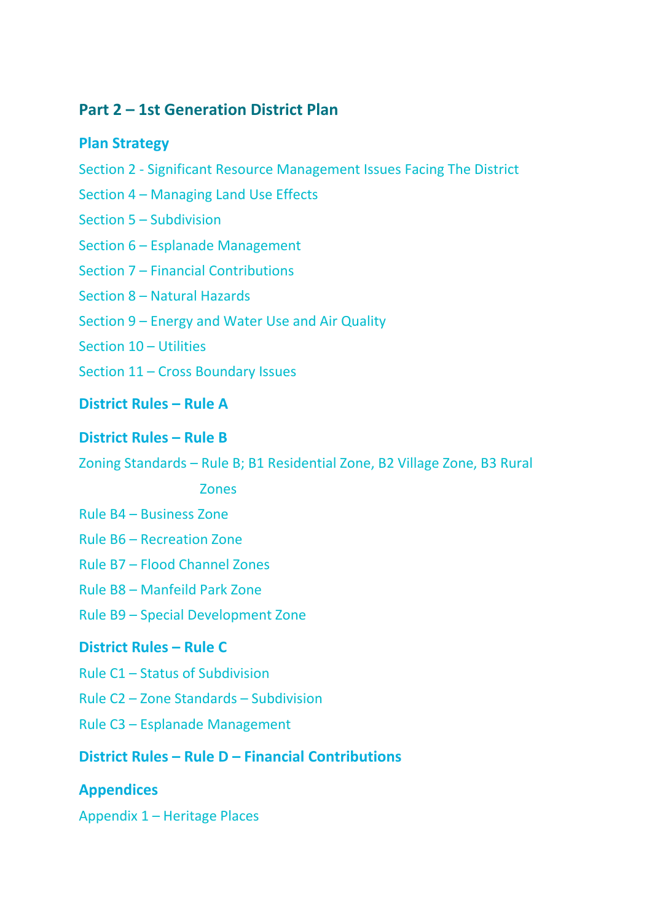# **Part 2 – 1st Generation District Plan**

### **Plan Strategy**

- Section 2 Significant Resource Management Issues Facing The District
- Section 4 Managing Land Use Effects
- Section 5 Subdivision
- Section 6 Esplanade Management
- Section 7 Financial Contributions
- Section 8 Natural Hazards
- Section 9 Energy and Water Use and Air Quality
- Section 10 Utilities
- Section 11 Cross Boundary Issues
- **District Rules – Rule A**

### **District Rules – Rule B**

Zoning Standards – Rule B; B1 Residential Zone, B2 Village Zone, B3 Rural

#### Zones

- Rule B4 Business Zone
- Rule B6 Recreation Zone
- Rule B7 Flood Channel Zones
- Rule B8 Manfeild Park Zone
- Rule B9 Special Development Zone

# **District Rules – Rule C**

- Rule C1 Status of Subdivision
- Rule C2 Zone Standards Subdivision
- Rule C3 Esplanade Management

# **District Rules – Rule D – Financial Contributions**

# **Appendices**

Appendix 1 – Heritage Places